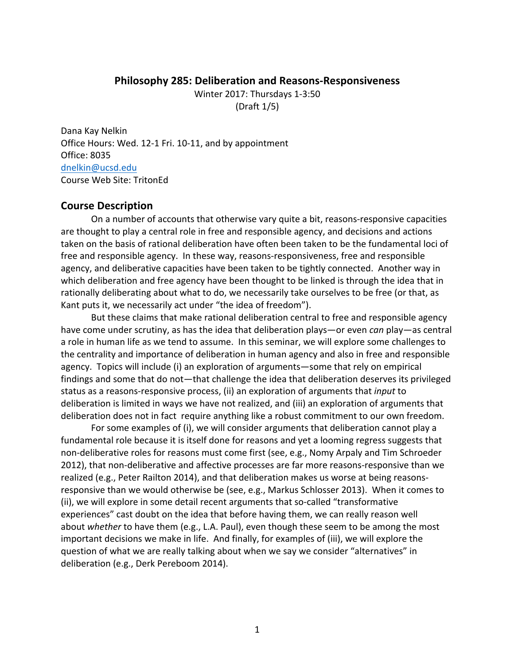#### **Philosophy 285: Deliberation and Reasons-Responsiveness**

Winter 2017: Thursdays 1-3:50 (Draft 1/5)

Dana Kay Nelkin Office Hours: Wed. 12-1 Fri. 10-11, and by appointment Office: 8035 dnelkin@ucsd.edu Course Web Site: TritonEd

#### **Course Description**

On a number of accounts that otherwise vary quite a bit, reasons-responsive capacities are thought to play a central role in free and responsible agency, and decisions and actions taken on the basis of rational deliberation have often been taken to be the fundamental loci of free and responsible agency. In these way, reasons-responsiveness, free and responsible agency, and deliberative capacities have been taken to be tightly connected. Another way in which deliberation and free agency have been thought to be linked is through the idea that in rationally deliberating about what to do, we necessarily take ourselves to be free (or that, as Kant puts it, we necessarily act under "the idea of freedom").

But these claims that make rational deliberation central to free and responsible agency have come under scrutiny, as has the idea that deliberation plays—or even *can* play—as central a role in human life as we tend to assume. In this seminar, we will explore some challenges to the centrality and importance of deliberation in human agency and also in free and responsible agency. Topics will include (i) an exploration of arguments—some that rely on empirical findings and some that do not—that challenge the idea that deliberation deserves its privileged status as a reasons-responsive process, (ii) an exploration of arguments that *input* to deliberation is limited in ways we have not realized, and (iii) an exploration of arguments that deliberation does not in fact require anything like a robust commitment to our own freedom.

For some examples of (i), we will consider arguments that deliberation cannot play a fundamental role because it is itself done for reasons and yet a looming regress suggests that non-deliberative roles for reasons must come first (see, e.g., Nomy Arpaly and Tim Schroeder 2012), that non-deliberative and affective processes are far more reasons-responsive than we realized (e.g., Peter Railton 2014), and that deliberation makes us worse at being reasonsresponsive than we would otherwise be (see, e.g., Markus Schlosser 2013). When it comes to (ii), we will explore in some detail recent arguments that so-called "transformative" experiences" cast doubt on the idea that before having them, we can really reason well about *whether* to have them (e.g., L.A. Paul), even though these seem to be among the most important decisions we make in life. And finally, for examples of (iii), we will explore the question of what we are really talking about when we say we consider "alternatives" in deliberation (e.g., Derk Pereboom 2014).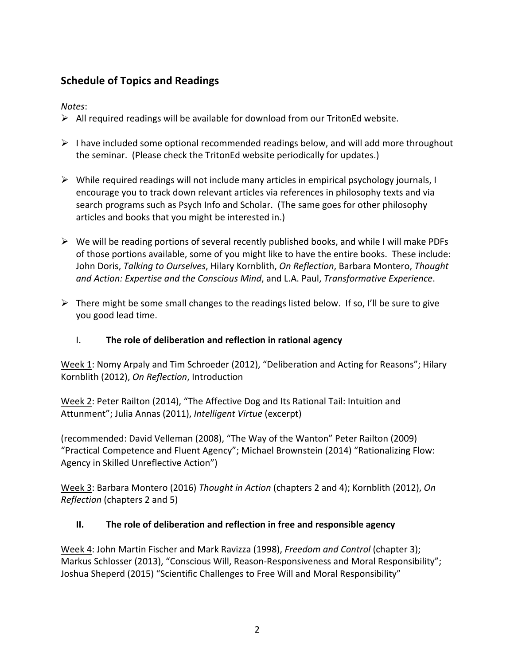# **Schedule of Topics and Readings**

## *Notes*:

- $\triangleright$  All required readings will be available for download from our TritonEd website.
- $\triangleright$  I have included some optional recommended readings below, and will add more throughout the seminar. (Please check the TritonEd website periodically for updates.)
- $\triangleright$  While required readings will not include many articles in empirical psychology journals, I encourage you to track down relevant articles via references in philosophy texts and via search programs such as Psych Info and Scholar. (The same goes for other philosophy articles and books that you might be interested in.)
- $\triangleright$  We will be reading portions of several recently published books, and while I will make PDFs of those portions available, some of you might like to have the entire books. These include: John Doris, *Talking to Ourselves*, Hilary Kornblith, *On Reflection*, Barbara Montero, *Thought* and Action: Expertise and the Conscious Mind, and L.A. Paul, *Transformative Experience*.
- $\triangleright$  There might be some small changes to the readings listed below. If so, I'll be sure to give you good lead time.

### I. The role of deliberation and reflection in rational agency

Week 1: Nomy Arpaly and Tim Schroeder (2012), "Deliberation and Acting for Reasons"; Hilary Kornblith (2012), *On Reflection*, Introduction

Week 2: Peter Railton (2014), "The Affective Dog and Its Rational Tail: Intuition and Attunment"; Julia Annas (2011), Intelligent Virtue (excerpt)

(recommended: David Velleman (2008), "The Way of the Wanton" Peter Railton (2009) "Practical Competence and Fluent Agency"; Michael Brownstein (2014) "Rationalizing Flow: Agency in Skilled Unreflective Action")

Week 3: Barbara Montero (2016) *Thought in Action* (chapters 2 and 4); Kornblith (2012), *On Reflection* (chapters 2 and 5)

# **II.** The role of deliberation and reflection in free and responsible agency

Week 4: John Martin Fischer and Mark Ravizza (1998), *Freedom and Control* (chapter 3); Markus Schlosser (2013), "Conscious Will, Reason-Responsiveness and Moral Responsibility"; Joshua Sheperd (2015) "Scientific Challenges to Free Will and Moral Responsibility"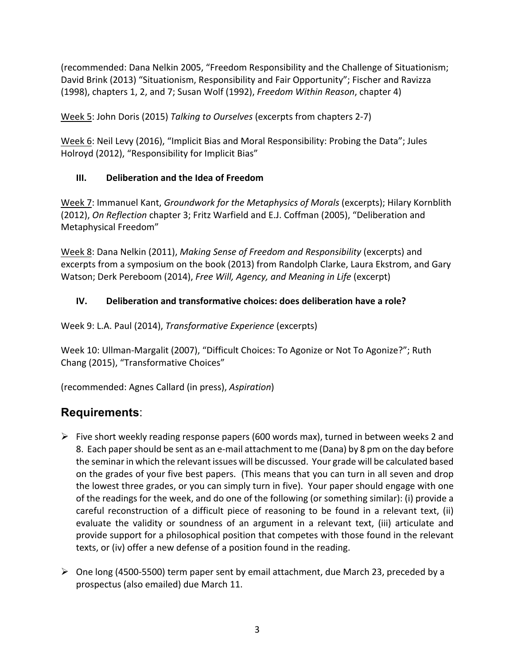(recommended: Dana Nelkin 2005, "Freedom Responsibility and the Challenge of Situationism; David Brink (2013) "Situationism, Responsibility and Fair Opportunity"; Fischer and Ravizza (1998), chapters 1, 2, and 7; Susan Wolf (1992), *Freedom Within Reason*, chapter 4)

Week 5: John Doris (2015) *Talking to Ourselves* (excerpts from chapters 2-7)

Week 6: Neil Levy (2016), "Implicit Bias and Moral Responsibility: Probing the Data"; Jules Holroyd (2012), "Responsibility for Implicit Bias"

# **III.** Deliberation and the Idea of Freedom

Week 7: Immanuel Kant, *Groundwork for the Metaphysics of Morals* (excerpts); Hilary Kornblith (2012), *On Reflection* chapter 3; Fritz Warfield and E.J. Coffman (2005), "Deliberation and Metaphysical Freedom"

Week 8: Dana Nelkin (2011), *Making Sense of Freedom and Responsibility* (excerpts) and excerpts from a symposium on the book (2013) from Randolph Clarke, Laura Ekstrom, and Gary Watson; Derk Pereboom (2014), *Free Will, Agency, and Meaning in Life* (excerpt)

# **IV.** Deliberation and transformative choices: does deliberation have a role?

Week 9: L.A. Paul (2014), *Transformative Experience* (excerpts)

Week 10: Ullman-Margalit (2007), "Difficult Choices: To Agonize or Not To Agonize?"; Ruth Chang (2015), "Transformative Choices"

(recommended: Agnes Callard (in press), *Aspiration*)

# **Requirements**:

- $\triangleright$  Five short weekly reading response papers (600 words max), turned in between weeks 2 and 8. Each paper should be sent as an e-mail attachment to me (Dana) by 8 pm on the day before the seminar in which the relevant issues will be discussed. Your grade will be calculated based on the grades of your five best papers. (This means that you can turn in all seven and drop the lowest three grades, or you can simply turn in five). Your paper should engage with one of the readings for the week, and do one of the following (or something similar): (i) provide a careful reconstruction of a difficult piece of reasoning to be found in a relevant text, (ii) evaluate the validity or soundness of an argument in a relevant text, (iii) articulate and provide support for a philosophical position that competes with those found in the relevant texts, or (iv) offer a new defense of a position found in the reading.
- $\triangleright$  One long (4500-5500) term paper sent by email attachment, due March 23, preceded by a prospectus (also emailed) due March 11.